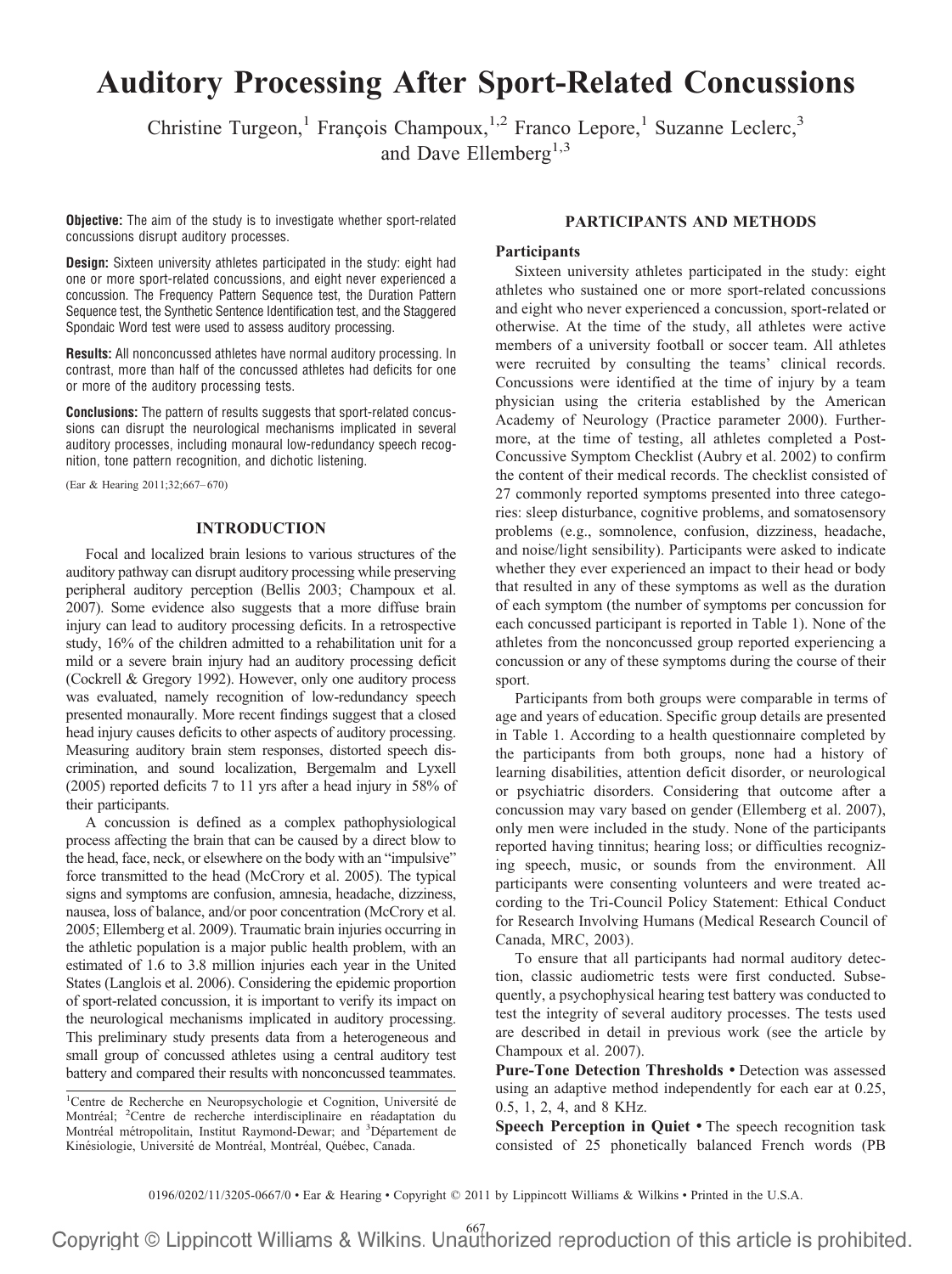# **Auditory Processing After Sport-Related Concussions**

Christine Turgeon,<sup>1</sup> François Champoux,<sup>1,2</sup> Franco Lepore,<sup>1</sup> Suzanne Leclerc,<sup>3</sup> and Dave Ellemberg<sup>1,3</sup>

**Objective:** The aim of the study is to investigate whether sport-related concussions disrupt auditory processes.

**Design:** Sixteen university athletes participated in the study: eight had one or more sport-related concussions, and eight never experienced a concussion. The Frequency Pattern Sequence test, the Duration Pattern Sequence test, the Synthetic Sentence Identification test, and the Staggered Spondaic Word test were used to assess auditory processing.

**Results:** All nonconcussed athletes have normal auditory processing. In contrast, more than half of the concussed athletes had deficits for one or more of the auditory processing tests.

**Conclusions:** The pattern of results suggests that sport-related concussions can disrupt the neurological mechanisms implicated in several auditory processes, including monaural low-redundancy speech recognition, tone pattern recognition, and dichotic listening.

(Ear & Hearing 2011;32;667– 670)

# **INTRODUCTION**

Focal and localized brain lesions to various structures of the auditory pathway can disrupt auditory processing while preserving peripheral auditory perception (Bellis 2003; Champoux et al. 2007). Some evidence also suggests that a more diffuse brain injury can lead to auditory processing deficits. In a retrospective study, 16% of the children admitted to a rehabilitation unit for a mild or a severe brain injury had an auditory processing deficit (Cockrell & Gregory 1992). However, only one auditory process was evaluated, namely recognition of low-redundancy speech presented monaurally. More recent findings suggest that a closed head injury causes deficits to other aspects of auditory processing. Measuring auditory brain stem responses, distorted speech discrimination, and sound localization, Bergemalm and Lyxell (2005) reported deficits 7 to 11 yrs after a head injury in 58% of their participants.

A concussion is defined as a complex pathophysiological process affecting the brain that can be caused by a direct blow to the head, face, neck, or elsewhere on the body with an "impulsive" force transmitted to the head (McCrory et al. 2005). The typical signs and symptoms are confusion, amnesia, headache, dizziness, nausea, loss of balance, and/or poor concentration (McCrory et al. 2005; Ellemberg et al. 2009). Traumatic brain injuries occurring in the athletic population is a major public health problem, with an estimated of 1.6 to 3.8 million injuries each year in the United States (Langlois et al. 2006). Considering the epidemic proportion of sport-related concussion, it is important to verify its impact on the neurological mechanisms implicated in auditory processing. This preliminary study presents data from a heterogeneous and small group of concussed athletes using a central auditory test battery and compared their results with nonconcussed teammates.

# **PARTICIPANTS AND METHODS**

# **Participants**

Sixteen university athletes participated in the study: eight athletes who sustained one or more sport-related concussions and eight who never experienced a concussion, sport-related or otherwise. At the time of the study, all athletes were active members of a university football or soccer team. All athletes were recruited by consulting the teams' clinical records. Concussions were identified at the time of injury by a team physician using the criteria established by the American Academy of Neurology (Practice parameter 2000). Furthermore, at the time of testing, all athletes completed a Post-Concussive Symptom Checklist (Aubry et al. 2002) to confirm the content of their medical records. The checklist consisted of 27 commonly reported symptoms presented into three categories: sleep disturbance, cognitive problems, and somatosensory problems (e.g., somnolence, confusion, dizziness, headache, and noise/light sensibility). Participants were asked to indicate whether they ever experienced an impact to their head or body that resulted in any of these symptoms as well as the duration of each symptom (the number of symptoms per concussion for each concussed participant is reported in Table 1). None of the athletes from the nonconcussed group reported experiencing a concussion or any of these symptoms during the course of their sport.

Participants from both groups were comparable in terms of age and years of education. Specific group details are presented in Table 1. According to a health questionnaire completed by the participants from both groups, none had a history of learning disabilities, attention deficit disorder, or neurological or psychiatric disorders. Considering that outcome after a concussion may vary based on gender (Ellemberg et al. 2007), only men were included in the study. None of the participants reported having tinnitus; hearing loss; or difficulties recognizing speech, music, or sounds from the environment. All participants were consenting volunteers and were treated according to the Tri-Council Policy Statement: Ethical Conduct for Research Involving Humans (Medical Research Council of Canada, MRC, 2003).

To ensure that all participants had normal auditory detection, classic audiometric tests were first conducted. Subsequently, a psychophysical hearing test battery was conducted to test the integrity of several auditory processes. The tests used are described in detail in previous work (see the article by Champoux et al. 2007).

**Pure-Tone Detection Thresholds** • Detection was assessed using an adaptive method independently for each ear at 0.25, 0.5, 1, 2, 4, and 8 KHz.

**Speech Perception in Quiet** • The speech recognition task consisted of 25 phonetically balanced French words (PB

0196/0202/11/3205-0667/0 • Ear & Hearing • Copyright © 2011 by Lippincott Williams & Wilkins • Printed in the U.S.A.

<sup>&</sup>lt;sup>1</sup>Centre de Recherche en Neuropsychologie et Cognition, Université de Montréal; <sup>2</sup>Centre de recherche interdisciplinaire en réadaptation du Montréal métropolitain, Institut Raymond-Dewar; and <sup>3</sup>Département de Kinésiologie, Université de Montréal, Montréal, Québec, Canada.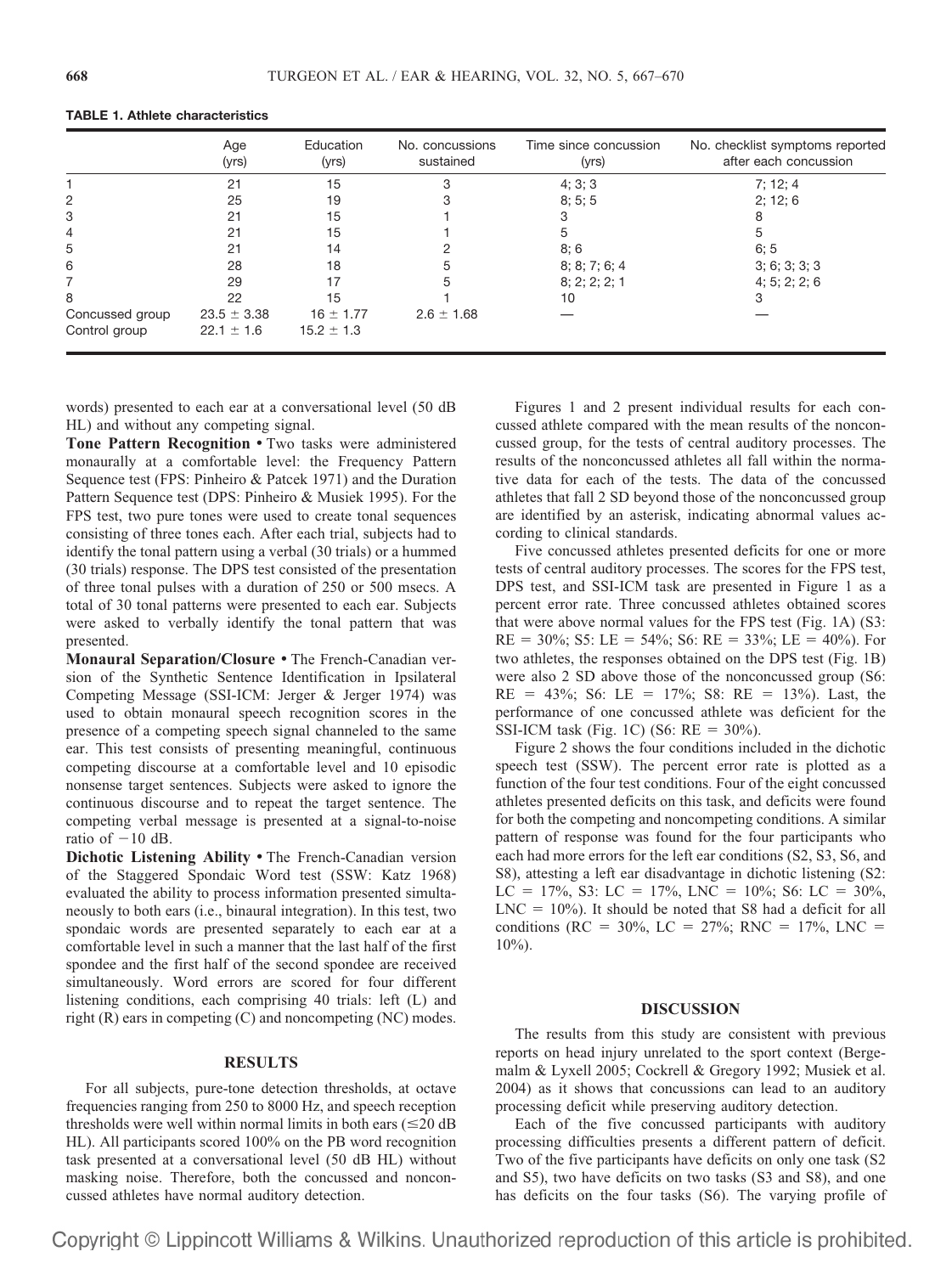|                                  | Age<br>(yrs)                      | Education<br>(yrs)              | No. concussions<br>sustained | Time since concussion<br>(yrs) | No. checklist symptoms reported<br>after each concussion |
|----------------------------------|-----------------------------------|---------------------------------|------------------------------|--------------------------------|----------------------------------------------------------|
|                                  | 21                                | 15                              | 3                            | 4; 3; 3                        | 7; 12; 4                                                 |
| 2                                | 25                                | 19                              |                              | 8; 5; 5                        | 2; 12; 6                                                 |
| 3                                | 21                                | 15                              |                              |                                |                                                          |
| 4                                | 21                                | 15                              |                              |                                |                                                          |
| 5                                | 21                                | 14                              |                              | 8;6                            | 6:5                                                      |
| 6                                | 28                                | 18                              |                              | 8; 8; 7; 6; 4                  | 3; 6; 3; 3; 3                                            |
|                                  | 29                                | 17                              |                              | 8; 2; 2; 2; 1                  | 4; 5; 2; 2; 6                                            |
| 8                                | 22                                | 15                              |                              | 10                             |                                                          |
| Concussed group<br>Control group | $23.5 \pm 3.38$<br>$22.1 \pm 1.6$ | $16 \pm 1.77$<br>$15.2 \pm 1.3$ | $2.6 \pm 1.68$               |                                |                                                          |

### **TABLE 1. Athlete characteristics**

words) presented to each ear at a conversational level (50 dB HL) and without any competing signal.

**Tone Pattern Recognition** • Two tasks were administered monaurally at a comfortable level: the Frequency Pattern Sequence test (FPS: Pinheiro & Patcek 1971) and the Duration Pattern Sequence test (DPS: Pinheiro & Musiek 1995). For the FPS test, two pure tones were used to create tonal sequences consisting of three tones each. After each trial, subjects had to identify the tonal pattern using a verbal (30 trials) or a hummed (30 trials) response. The DPS test consisted of the presentation of three tonal pulses with a duration of 250 or 500 msecs. A total of 30 tonal patterns were presented to each ear. Subjects were asked to verbally identify the tonal pattern that was presented.

**Monaural Separation/Closure** • The French-Canadian version of the Synthetic Sentence Identification in Ipsilateral Competing Message (SSI-ICM: Jerger & Jerger 1974) was used to obtain monaural speech recognition scores in the presence of a competing speech signal channeled to the same ear. This test consists of presenting meaningful, continuous competing discourse at a comfortable level and 10 episodic nonsense target sentences. Subjects were asked to ignore the continuous discourse and to repeat the target sentence. The competing verbal message is presented at a signal-to-noise ratio of  $-10$  dB.

**Dichotic Listening Ability** • The French-Canadian version of the Staggered Spondaic Word test (SSW: Katz 1968) evaluated the ability to process information presented simultaneously to both ears (i.e., binaural integration). In this test, two spondaic words are presented separately to each ear at a comfortable level in such a manner that the last half of the first spondee and the first half of the second spondee are received simultaneously. Word errors are scored for four different listening conditions, each comprising 40 trials: left (L) and right (R) ears in competing (C) and noncompeting (NC) modes.

### **RESULTS**

For all subjects, pure-tone detection thresholds, at octave frequencies ranging from 250 to 8000 Hz, and speech reception thresholds were well within normal limits in both ears  $(\leq 20 \text{ dB})$ HL). All participants scored 100% on the PB word recognition task presented at a conversational level (50 dB HL) without masking noise. Therefore, both the concussed and nonconcussed athletes have normal auditory detection.

Figures 1 and 2 present individual results for each concussed athlete compared with the mean results of the nonconcussed group, for the tests of central auditory processes. The results of the nonconcussed athletes all fall within the normative data for each of the tests. The data of the concussed athletes that fall 2 SD beyond those of the nonconcussed group are identified by an asterisk, indicating abnormal values according to clinical standards.

Five concussed athletes presented deficits for one or more tests of central auditory processes. The scores for the FPS test, DPS test, and SSI-ICM task are presented in Figure 1 as a percent error rate. Three concussed athletes obtained scores that were above normal values for the FPS test (Fig. 1A) (S3:  $RE = 30\%$ ; S5: LE = 54%; S6: RE = 33%; LE = 40%). For two athletes, the responses obtained on the DPS test (Fig. 1B) were also 2 SD above those of the nonconcussed group (S6:  $RE = 43\%; S6: LE = 17\%; S8: RE = 13\%$ . Last, the performance of one concussed athlete was deficient for the SSI-ICM task (Fig. 1C) (S6:  $RE = 30\%$ ).

Figure 2 shows the four conditions included in the dichotic speech test (SSW). The percent error rate is plotted as a function of the four test conditions. Four of the eight concussed athletes presented deficits on this task, and deficits were found for both the competing and noncompeting conditions. A similar pattern of response was found for the four participants who each had more errors for the left ear conditions (S2, S3, S6, and S8), attesting a left ear disadvantage in dichotic listening (S2:  $LC = 17\%, S3$ :  $LC = 17\%, LNC = 10\%; S6$ :  $LC = 30\%,$  $LNC = 10\%$ ). It should be noted that S8 had a deficit for all conditions (RC = 30%, LC = 27%; RNC = 17%, LNC =  $10\%$ ).

#### **DISCUSSION**

The results from this study are consistent with previous reports on head injury unrelated to the sport context (Bergemalm & Lyxell 2005; Cockrell & Gregory 1992; Musiek et al. 2004) as it shows that concussions can lead to an auditory processing deficit while preserving auditory detection.

Each of the five concussed participants with auditory processing difficulties presents a different pattern of deficit. Two of the five participants have deficits on only one task (S2 and S5), two have deficits on two tasks (S3 and S8), and one has deficits on the four tasks (S6). The varying profile of

Copyright © Lippincott Williams & Wilkins. Unauthorized reproduction of this article is prohibited.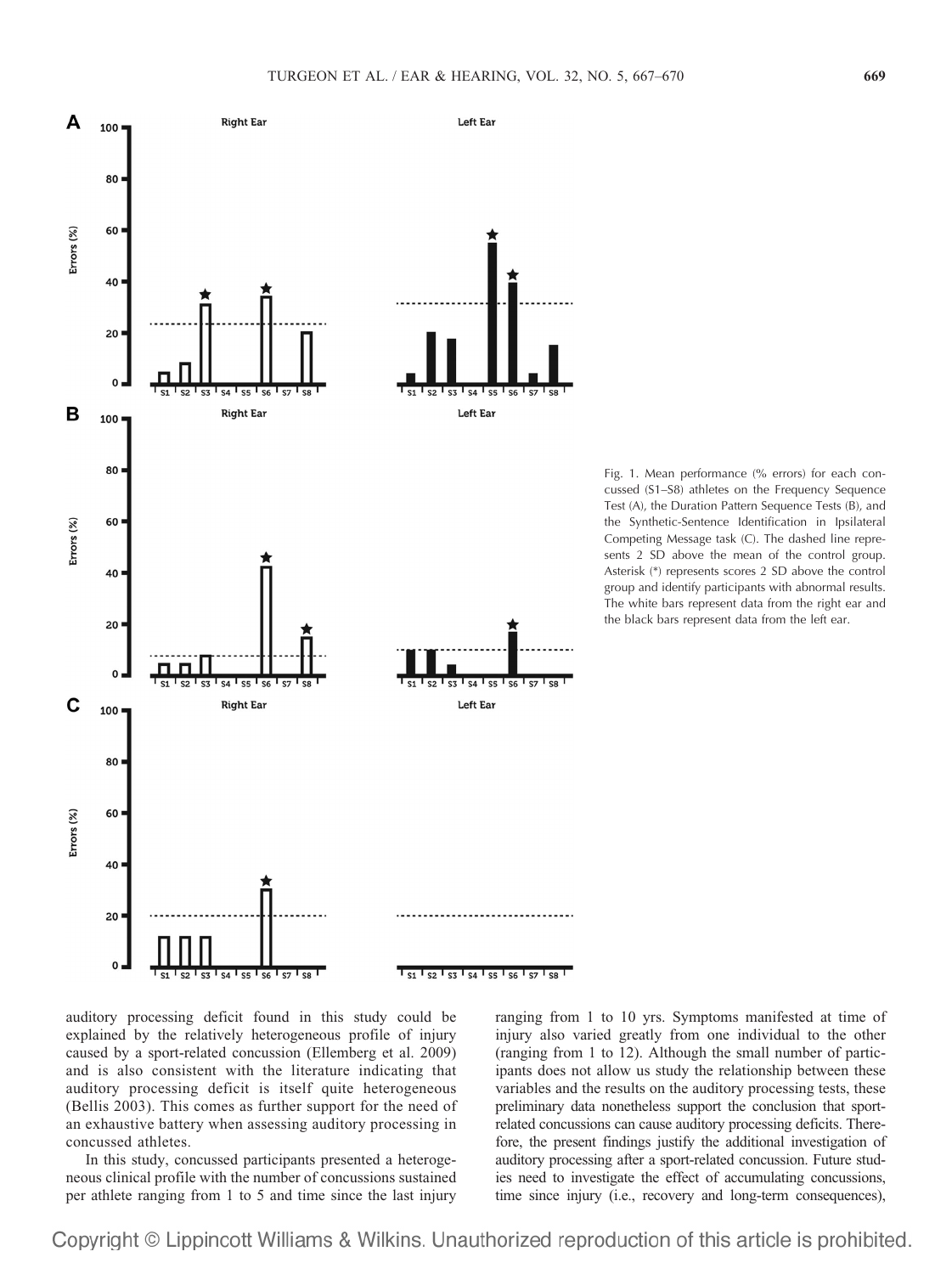

Fig. 1. Mean performance (% errors) for each concussed (S1–S8) athletes on the Frequency Sequence Test (A), the Duration Pattern Sequence Tests (B), and the Synthetic-Sentence Identification in Ipsilateral Competing Message task (C). The dashed line represents 2 SD above the mean of the control group. Asterisk (\*) represents scores 2 SD above the control group and identify participants with abnormal results. The white bars represent data from the right ear and the black bars represent data from the left ear.

auditory processing deficit found in this study could be explained by the relatively heterogeneous profile of injury caused by a sport-related concussion (Ellemberg et al. 2009) and is also consistent with the literature indicating that auditory processing deficit is itself quite heterogeneous (Bellis 2003). This comes as further support for the need of an exhaustive battery when assessing auditory processing in concussed athletes.

In this study, concussed participants presented a heterogeneous clinical profile with the number of concussions sustained per athlete ranging from 1 to 5 and time since the last injury ranging from 1 to 10 yrs. Symptoms manifested at time of injury also varied greatly from one individual to the other (ranging from 1 to 12). Although the small number of participants does not allow us study the relationship between these variables and the results on the auditory processing tests, these preliminary data nonetheless support the conclusion that sportrelated concussions can cause auditory processing deficits. Therefore, the present findings justify the additional investigation of auditory processing after a sport-related concussion. Future studies need to investigate the effect of accumulating concussions, time since injury (i.e., recovery and long-term consequences),

Copyright © Lippincott Williams & Wilkins. Unauthorized reproduction of this article is prohibited.